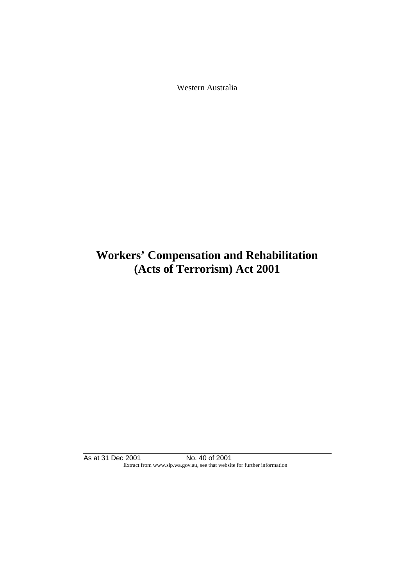Western Australia

# **Workers' Compensation and Rehabilitation (Acts of Terrorism) Act 2001**

As at 31 Dec 2001 No. 40 of 2001 Extract from www.slp.wa.gov.au, see that website for further information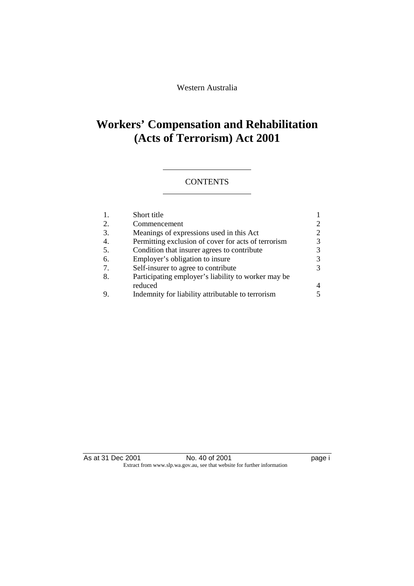Western Australia

# **Workers' Compensation and Rehabilitation (Acts of Terrorism) Act 2001**

## **CONTENTS**

| 1. | Short title                                         |  |
|----|-----------------------------------------------------|--|
| 2. | Commencement                                        |  |
| 3. | Meanings of expressions used in this Act            |  |
| 4. | Permitting exclusion of cover for acts of terrorism |  |
| 5. | Condition that insurer agrees to contribute         |  |
| 6. | Employer's obligation to insure                     |  |
| 7. | Self-insurer to agree to contribute                 |  |
| 8. | Participating employer's liability to worker may be |  |
|    | reduced                                             |  |
|    | Indemnity for liability attributable to terrorism   |  |

As at 31 Dec 2001 No. 40 of 2001 Page i Extract from www.slp.wa.gov.au, see that website for further information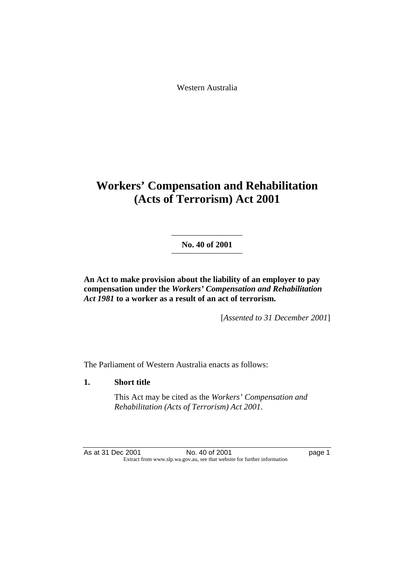Western Australia

# **Workers' Compensation and Rehabilitation (Acts of Terrorism) Act 2001**

**No. 40 of 2001** 

**An Act to make provision about the liability of an employer to pay compensation under the** *Workers' Compensation and Rehabilitation Act 1981* **to a worker as a result of an act of terrorism.** 

[*Assented to 31 December 2001*]

The Parliament of Western Australia enacts as follows:

## **1. Short title**

 This Act may be cited as the *Workers' Compensation and Rehabilitation (Acts of Terrorism) Act 2001*.

As at 31 Dec 2001 No. 40 of 2001 Page 1 Extract from www.slp.wa.gov.au, see that website for further information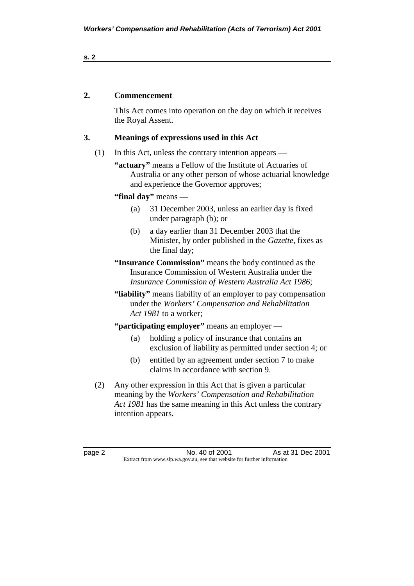### **s. 2**

## **2. Commencement**

 This Act comes into operation on the day on which it receives the Royal Assent.

## **3. Meanings of expressions used in this Act**

(1) In this Act, unless the contrary intention appears —

**"actuary"** means a Fellow of the Institute of Actuaries of Australia or any other person of whose actuarial knowledge and experience the Governor approves;

**"final day"** means —

- (a) 31 December 2003, unless an earlier day is fixed under paragraph (b); or
- (b) a day earlier than 31 December 2003 that the Minister, by order published in the *Gazette*, fixes as the final day;
- **"Insurance Commission"** means the body continued as the Insurance Commission of Western Australia under the *Insurance Commission of Western Australia Act 1986*;
- **"liability"** means liability of an employer to pay compensation under the *Workers' Compensation and Rehabilitation Act 1981* to a worker;

## **"participating employer"** means an employer —

- (a) holding a policy of insurance that contains an exclusion of liability as permitted under section 4; or
- (b) entitled by an agreement under section 7 to make claims in accordance with section 9.
- (2) Any other expression in this Act that is given a particular meaning by the *Workers' Compensation and Rehabilitation Act 1981* has the same meaning in this Act unless the contrary intention appears.

page 2 No. 40 of 2001 As at 31 Dec 2001 Extract from www.slp.wa.gov.au, see that website for further information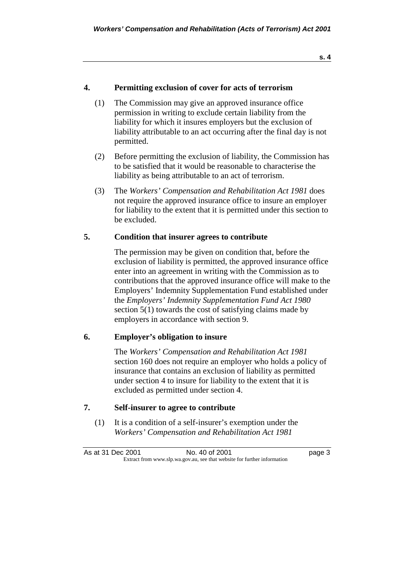## **4. Permitting exclusion of cover for acts of terrorism**

- (1) The Commission may give an approved insurance office permission in writing to exclude certain liability from the liability for which it insures employers but the exclusion of liability attributable to an act occurring after the final day is not permitted.
- (2) Before permitting the exclusion of liability, the Commission has to be satisfied that it would be reasonable to characterise the liability as being attributable to an act of terrorism.
- (3) The *Workers' Compensation and Rehabilitation Act 1981* does not require the approved insurance office to insure an employer for liability to the extent that it is permitted under this section to be excluded.

#### **5. Condition that insurer agrees to contribute**

 The permission may be given on condition that, before the exclusion of liability is permitted, the approved insurance office enter into an agreement in writing with the Commission as to contributions that the approved insurance office will make to the Employers' Indemnity Supplementation Fund established under the *Employers' Indemnity Supplementation Fund Act 1980* section 5(1) towards the cost of satisfying claims made by employers in accordance with section 9.

### **6. Employer's obligation to insure**

 The *Workers' Compensation and Rehabilitation Act 1981* section 160 does not require an employer who holds a policy of insurance that contains an exclusion of liability as permitted under section 4 to insure for liability to the extent that it is excluded as permitted under section 4.

## **7. Self-insurer to agree to contribute**

 (1) It is a condition of a self-insurer's exemption under the *Workers' Compensation and Rehabilitation Act 1981*

As at 31 Dec 2001 No. 40 of 2001 Page 3 Extract from www.slp.wa.gov.au, see that website for further information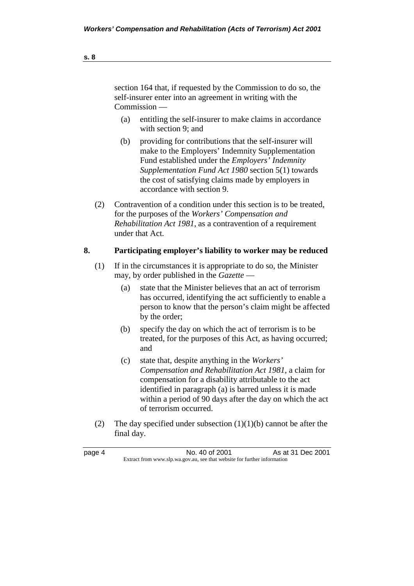- (a) entitling the self-insurer to make claims in accordance with section 9; and
- (b) providing for contributions that the self-insurer will make to the Employers' Indemnity Supplementation Fund established under the *Employers' Indemnity Supplementation Fund Act 1980* section 5(1) towards the cost of satisfying claims made by employers in accordance with section 9.
- (2) Contravention of a condition under this section is to be treated, for the purposes of the *Workers' Compensation and Rehabilitation Act 1981*, as a contravention of a requirement under that Act.

## **8. Participating employer's liability to worker may be reduced**

- (1) If in the circumstances it is appropriate to do so, the Minister may, by order published in the *Gazette* —
	- (a) state that the Minister believes that an act of terrorism has occurred, identifying the act sufficiently to enable a person to know that the person's claim might be affected by the order;
	- (b) specify the day on which the act of terrorism is to be treated, for the purposes of this Act, as having occurred; and
	- (c) state that, despite anything in the *Workers' Compensation and Rehabilitation Act 1981*, a claim for compensation for a disability attributable to the act identified in paragraph (a) is barred unless it is made within a period of 90 days after the day on which the act of terrorism occurred.
- (2) The day specified under subsection  $(1)(1)(b)$  cannot be after the final day.

page 4 No. 40 of 2001 As at 31 Dec 2001 Extract from www.slp.wa.gov.au, see that website for further information

**s. 8**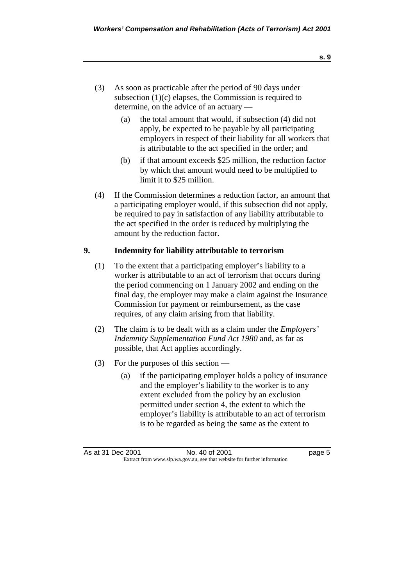- (3) As soon as practicable after the period of 90 days under subsection  $(1)(c)$  elapses, the Commission is required to determine, on the advice of an actuary —
	- (a) the total amount that would, if subsection (4) did not apply, be expected to be payable by all participating employers in respect of their liability for all workers that is attributable to the act specified in the order; and
	- (b) if that amount exceeds \$25 million, the reduction factor by which that amount would need to be multiplied to limit it to \$25 million.
- (4) If the Commission determines a reduction factor, an amount that a participating employer would, if this subsection did not apply, be required to pay in satisfaction of any liability attributable to the act specified in the order is reduced by multiplying the amount by the reduction factor.

## **9. Indemnity for liability attributable to terrorism**

- (1) To the extent that a participating employer's liability to a worker is attributable to an act of terrorism that occurs during the period commencing on 1 January 2002 and ending on the final day, the employer may make a claim against the Insurance Commission for payment or reimbursement, as the case requires, of any claim arising from that liability.
- (2) The claim is to be dealt with as a claim under the *Employers' Indemnity Supplementation Fund Act 1980* and, as far as possible, that Act applies accordingly.
- (3) For the purposes of this section
	- (a) if the participating employer holds a policy of insurance and the employer's liability to the worker is to any extent excluded from the policy by an exclusion permitted under section 4, the extent to which the employer's liability is attributable to an act of terrorism is to be regarded as being the same as the extent to